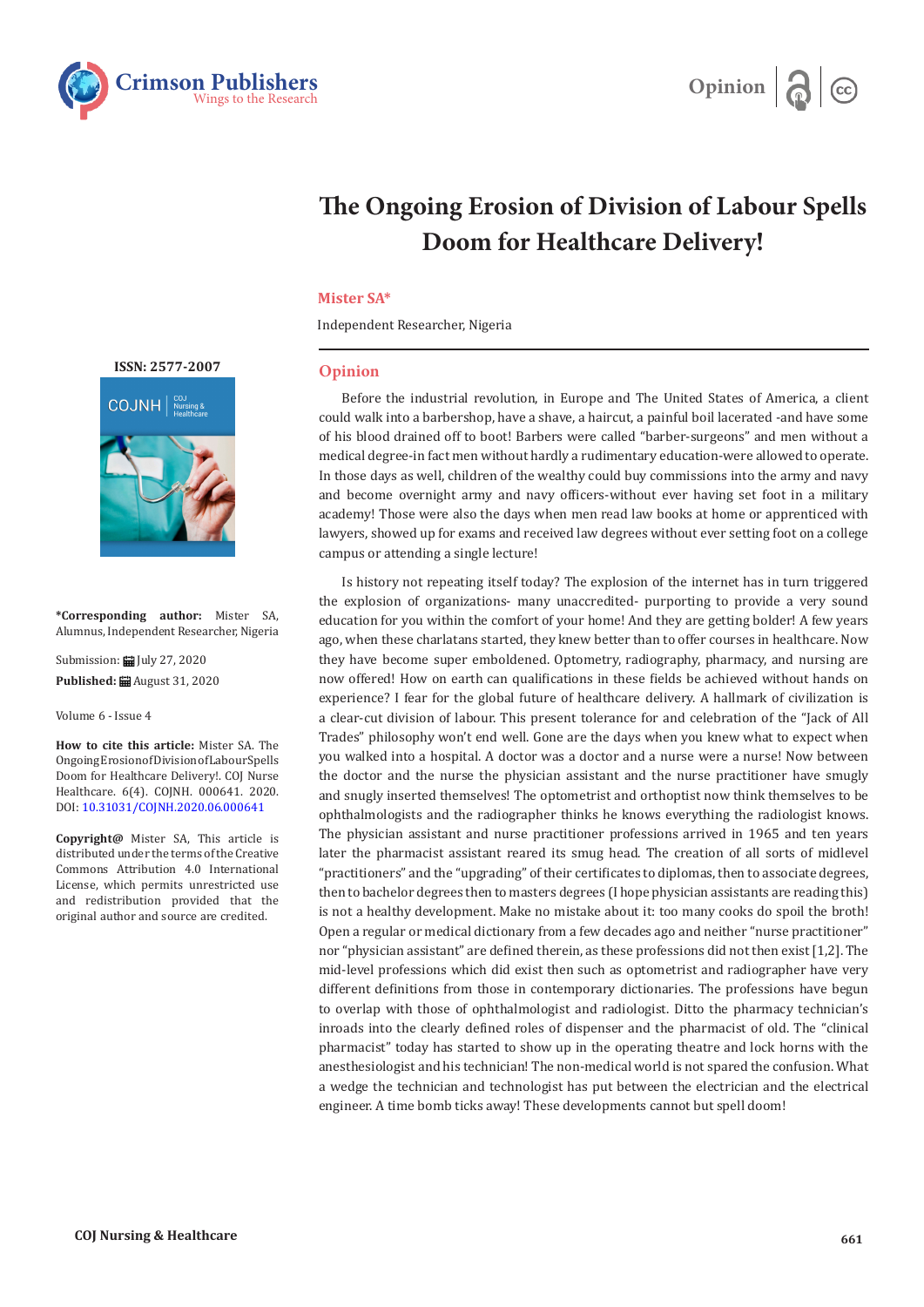



# **The Ongoing Erosion of Division of Labour Spells Doom for Healthcare Delivery!**

# **Mister SA\***

Independent Researcher, Nigeria

# **Opinion**

Before the industrial revolution, in Europe and The United States of America, a client could walk into a barbershop, have a shave, a haircut, a painful boil lacerated -and have some of his blood drained off to boot! Barbers were called "barber-surgeons" and men without a medical degree-in fact men without hardly a rudimentary education-were allowed to operate. In those days as well, children of the wealthy could buy commissions into the army and navy and become overnight army and navy officers-without ever having set foot in a military academy! Those were also the days when men read law books at home or apprenticed with lawyers, showed up for exams and received law degrees without ever setting foot on a college campus or attending a single lecture!

Is history not repeating itself today? The explosion of the internet has in turn triggered the explosion of organizations- many unaccredited- purporting to provide a very sound education for you within the comfort of your home! And they are getting bolder! A few years ago, when these charlatans started, they knew better than to offer courses in healthcare. Now they have become super emboldened. Optometry, radiography, pharmacy, and nursing are now offered! How on earth can qualifications in these fields be achieved without hands on experience? I fear for the global future of healthcare delivery. A hallmark of civilization is a clear-cut division of labour. This present tolerance for and celebration of the "Jack of All Trades" philosophy won't end well. Gone are the days when you knew what to expect when you walked into a hospital. A doctor was a doctor and a nurse were a nurse! Now between the doctor and the nurse the physician assistant and the nurse practitioner have smugly and snugly inserted themselves! The optometrist and orthoptist now think themselves to be ophthalmologists and the radiographer thinks he knows everything the radiologist knows. The physician assistant and nurse practitioner professions arrived in 1965 and ten years later the pharmacist assistant reared its smug head. The creation of all sorts of midlevel "practitioners" and the "upgrading" of their certificates to diplomas, then to associate degrees, then to bachelor degrees then to masters degrees (I hope physician assistants are reading this) is not a healthy development. Make no mistake about it: too many cooks do spoil the broth! Open a regular or medical dictionary from a few decades ago and neither "nurse practitioner" nor "physician assistant" are defined therein, as these professions did not then exist [1,2]. The mid-level professions which did exist then such as optometrist and radiographer have very different definitions from those in contemporary dictionaries. The professions have begun to overlap with those of ophthalmologist and radiologist. Ditto the pharmacy technician's inroads into the clearly defined roles of dispenser and the pharmacist of old. The "clinical pharmacist" today has started to show up in the operating theatre and lock horns with the anesthesiologist and his technician! The non-medical world is not spared the confusion. What a wedge the technician and technologist has put between the electrician and the electrical engineer. A time bomb ticks away! These developments cannot but spell doom!



**\*Corresponding author:** Mister SA, Alumnus, Independent Researcher, Nigeria

Submission: Hill July 27, 2020 **Published:** August 31, 2020

Volume 6 - Issue 4

**How to cite this article:** Mister SA. The Ongoing Erosion of Division of Labour Spells Doom for Healthcare Delivery!. COJ Nurse Healthcare. 6(4). COJNH. 000641. 2020. DOI: [10.31031/COJNH.2020.06.000641](http://dx.doi.org/10.31031/COJNH.2020.06.000641)

**Copyright@** Mister SA, This article is distributed under the terms of the Creative Commons Attribution 4.0 International License, which permits unrestricted use and redistribution provided that the original author and source are credited.